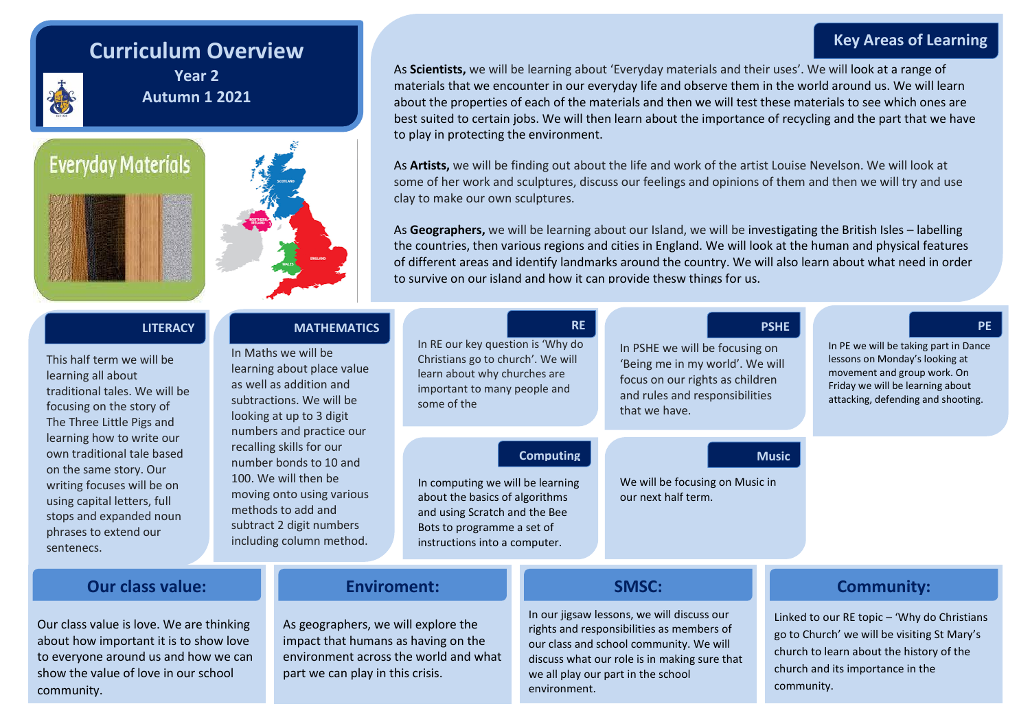## **Key Areas of Learning**

## **Curriculum Overview**



community.

**Year 2 Autumn 1 2021**

# **Everyday Materials**





As **Scientists,** we will be learning about 'Everyday materials and their uses'. We will look at a range of materials that we encounter in our everyday life and observe them in the world around us. We will learn about the properties of each of the materials and then we will test these materials to see which ones are best suited to certain jobs. We will then learn about the importance of recycling and the part that we have to play in protecting the environment.

As **Artists,** we will be finding out about the life and work of the artist Louise Nevelson. We will look at some of her work and sculptures, discuss our feelings and opinions of them and then we will try and use clay to make our own sculptures.

As **Geographers,** we will be learning about our Island, we will be investigating the British Isles – labelling the countries, then various regions and cities in England. We will look at the human and physical features of different areas and identify landmarks around the country. We will also learn about what need in order to survive on our island and how it can provide thesw things for us.

community.

| <b>LITERACY</b><br>This half term we will be<br>learning all about<br>traditional tales. We will be<br>focusing on the story of<br>The Three Little Pigs and<br>learning how to write our<br>own traditional tale based<br>on the same story. Our<br>writing focuses will be on<br>using capital letters, full<br>stops and expanded noun<br>phrases to extend our<br>sentenecs. |  | <b>MATHEMATICS</b><br>In Maths we will be<br>learning about place value<br>as well as addition and<br>subtractions. We will be<br>looking at up to 3 digit<br>numbers and practice our | In RE our key question is 'Why do<br>Christians go to church'. We will<br>learn about why churches are<br>important to many people and<br>some of the                                  | <b>RE</b>                                                                                                                                                                                                                | In PSHE we will be focusing on<br>'Being me in my world'. We will<br>focus on our rights as children<br>and rules and responsibilities<br>that we have.                    | <b>PSHE</b>       | PE<br>In PE we will be taking part in Dance<br>lessons on Monday's looking at<br>movement and group work. On<br>Friday we will be learning about<br>attacking, defending and shooting. |
|----------------------------------------------------------------------------------------------------------------------------------------------------------------------------------------------------------------------------------------------------------------------------------------------------------------------------------------------------------------------------------|--|----------------------------------------------------------------------------------------------------------------------------------------------------------------------------------------|----------------------------------------------------------------------------------------------------------------------------------------------------------------------------------------|--------------------------------------------------------------------------------------------------------------------------------------------------------------------------------------------------------------------------|----------------------------------------------------------------------------------------------------------------------------------------------------------------------------|-------------------|----------------------------------------------------------------------------------------------------------------------------------------------------------------------------------------|
|                                                                                                                                                                                                                                                                                                                                                                                  |  | recalling skills for our<br>number bonds to 10 and<br>100. We will then be<br>moving onto using various<br>methods to add and<br>subtract 2 digit numbers<br>including column method.  | <b>Computing</b><br>In computing we will be learning<br>about the basics of algorithms<br>and using Scratch and the Bee<br>Bots to programme a set of<br>instructions into a computer. |                                                                                                                                                                                                                          | <b>Music</b><br>We will be focusing on Music in<br>our next half term.                                                                                                     |                   |                                                                                                                                                                                        |
| <b>Our class value:</b>                                                                                                                                                                                                                                                                                                                                                          |  | <b>Enviroment:</b>                                                                                                                                                                     |                                                                                                                                                                                        | <b>SMSC:</b>                                                                                                                                                                                                             |                                                                                                                                                                            | <b>Community:</b> |                                                                                                                                                                                        |
| Our class value is love. We are thinking<br>As geographers, we will explore the<br>impact that humans as having on the<br>about how important it is to show love<br>to everyone around us and how we can<br>show the value of love in our school<br>part we can play in this crisis.                                                                                             |  | environment across the world and what                                                                                                                                                  |                                                                                                                                                                                        | In our jigsaw lessons, we will discuss our<br>rights and responsibilities as members of<br>our class and school community. We will<br>discuss what our role is in making sure that<br>we all play our part in the school | Linked to our RE topic - 'Why do Christians<br>go to Church' we will be visiting St Mary's<br>church to learn about the history of the<br>church and its importance in the |                   |                                                                                                                                                                                        |

environment.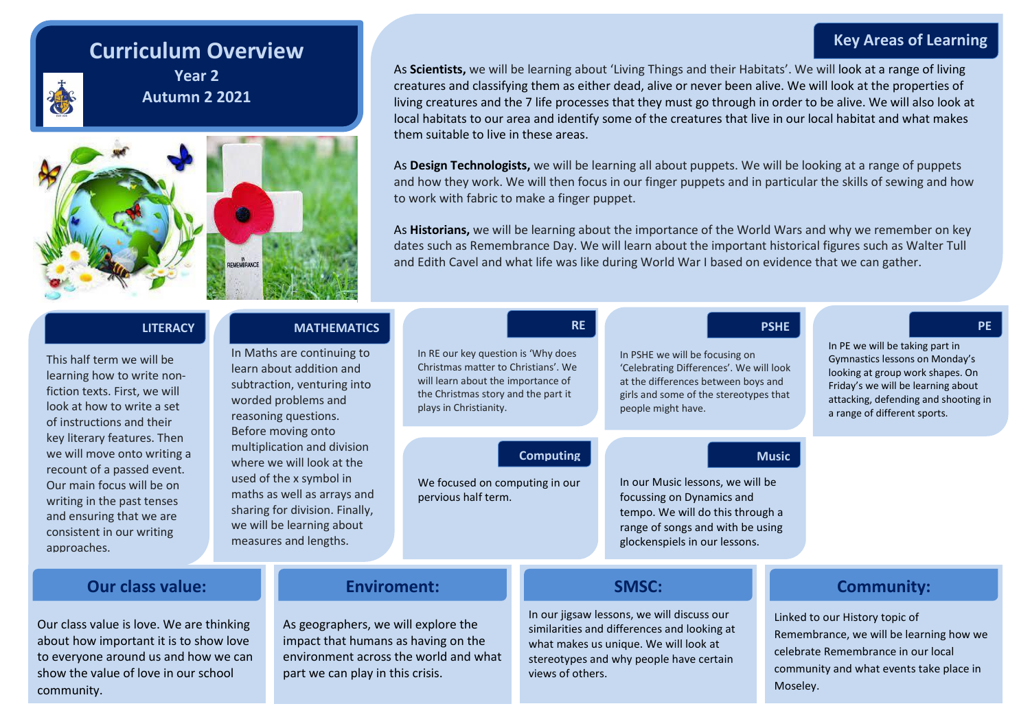## **Key Areas of Learning**

## **Curriculum Overview**



**Year 2 Autumn 2 2021**





As **Scientists,** we will be learning about 'Living Things and their Habitats'. We will look at a range of living creatures and classifying them as either dead, alive or never been alive. We will look at the properties of living creatures and the 7 life processes that they must go through in order to be alive. We will also look at local habitats to our area and identify some of the creatures that live in our local habitat and what makes them suitable to live in these areas.

As **Design Technologists,** we will be learning all about puppets. We will be looking at a range of puppets and how they work. We will then focus in our finger puppets and in particular the skills of sewing and how to work with fabric to make a finger puppet.

As **Historians,** we will be learning about the importance of the World Wars and why we remember on key dates such as Remembrance Day. We will learn about the important historical figures such as Walter Tull and Edith Cavel and what life was like during World War I based on evidence that we can gather.

|  | <b>LITERACY</b> |
|--|-----------------|

This half term we will be learning how to write nonfiction texts. First, we will look at how to write a set of instructions and their key literary features. Then we will move onto writing a recount of a passed event. Our main focus will be on writing in the past tenses and ensuring that we are consistent in our writing approaches.

### **LITERACY CONSUMING THE RE MATHEMATICS TERM PERIODICS PERIODICS PERIODIC RE PSHERIODICS PERIODICS PERIODICS**

In Maths are continuing to learn about addition and subtraction, venturing into worded problems and reasoning questions. Before moving onto multiplication and division where we will look at the used of the x symbol in maths as well as arrays and sharing for division. Finally, we will be learning about measures and lengths.

### In RE our key question is 'Why does Christmas matter to Christians'. We will learn about the importance of the Christmas story and the part it plays in Christianity.

### **Computing Music**

We focused on computing in our pervious half term.

In PSHE we will be focusing on 'Celebrating Differences'. We will look at the differences between boys and girls and some of the stereotypes that people might have.

In our Music lessons, we will be focussing on Dynamics and tempo. We will do this through a range of songs and with be using glockenspiels in our lessons.

In our jigsaw lessons, we will discuss our similarities and differences and looking at what makes us unique. We will look at stereotypes and why people have certain views of others.

In PE we will be taking part in Gymnastics lessons on Monday's looking at group work shapes. On Friday's we will be learning about attacking, defending and shooting in

a range of different sports.

Linked to our History topic of Remembrance, we will be learning how we celebrate Remembrance in our local community and what events take place in Moseley.

### **Our class value: Enviroment: Enviroment: Enviroment: Enviroment: Environment: Community:**

Our class value is love. We are thinking about how important it is to show love to everyone around us and how we can show the value of love in our school community.

As geographers, we will explore the impact that humans as having on the environment across the world and what part we can play in this crisis.